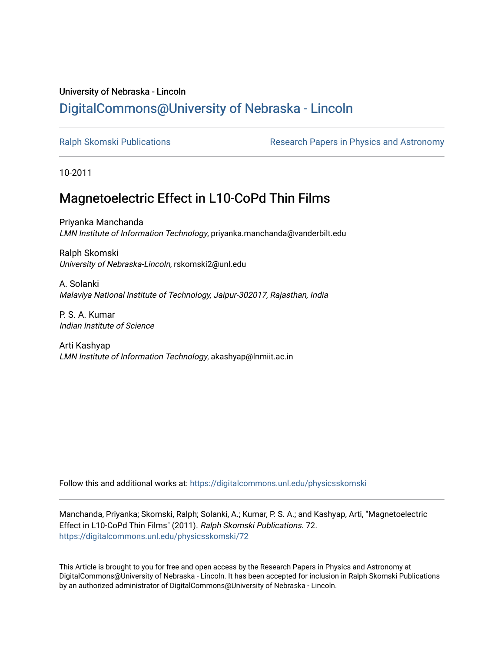# University of Nebraska - Lincoln [DigitalCommons@University of Nebraska - Lincoln](https://digitalcommons.unl.edu/)

[Ralph Skomski Publications](https://digitalcommons.unl.edu/physicsskomski) The Research Papers in Physics and Astronomy

10-2011

# Magnetoelectric Effect in L10-CoPd Thin Films

Priyanka Manchanda LMN Institute of Information Technology, priyanka.manchanda@vanderbilt.edu

Ralph Skomski University of Nebraska-Lincoln, rskomski2@unl.edu

A. Solanki Malaviya National Institute of Technology, Jaipur-302017, Rajasthan, India

P. S. A. Kumar Indian Institute of Science

Arti Kashyap LMN Institute of Information Technology, akashyap@lnmiit.ac.in

Follow this and additional works at: [https://digitalcommons.unl.edu/physicsskomski](https://digitalcommons.unl.edu/physicsskomski?utm_source=digitalcommons.unl.edu%2Fphysicsskomski%2F72&utm_medium=PDF&utm_campaign=PDFCoverPages) 

Manchanda, Priyanka; Skomski, Ralph; Solanki, A.; Kumar, P. S. A.; and Kashyap, Arti, "Magnetoelectric Effect in L10-CoPd Thin Films" (2011). Ralph Skomski Publications. 72. [https://digitalcommons.unl.edu/physicsskomski/72](https://digitalcommons.unl.edu/physicsskomski/72?utm_source=digitalcommons.unl.edu%2Fphysicsskomski%2F72&utm_medium=PDF&utm_campaign=PDFCoverPages)

This Article is brought to you for free and open access by the Research Papers in Physics and Astronomy at DigitalCommons@University of Nebraska - Lincoln. It has been accepted for inclusion in Ralph Skomski Publications by an authorized administrator of DigitalCommons@University of Nebraska - Lincoln.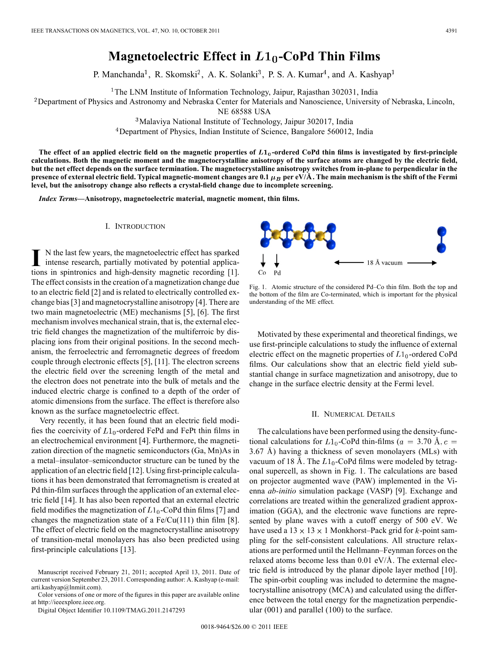# **Magnetoelectric Effect in**  $L1_0$ **-CoPd Thin Films**

P. Manchanda<sup>1</sup>, R. Skomski<sup>2</sup>, A. K. Solanki<sup>3</sup>, P. S. A. Kumar<sup>4</sup>, and A. Kashyap<sup>1</sup>

<sup>1</sup>The LNM Institute of Information Technology, Jaipur, Rajasthan 302031, India

<sup>2</sup>Department of Physics and Astronomy and Nebraska Center for Materials and Nanoscience, University of Nebraska, Lincoln,

NE 68588 USA

Malaviya National Institute of Technology, Jaipur 302017, India

<sup>4</sup>Department of Physics, Indian Institute of Science, Bangalore 560012, India

The effect of an applied electric field on the magnetic properties of  $L1_0$ -ordered CoPd thin films is investigated by first-principle **calculations. Both the magnetic moment and the magnetocrystalline anisotropy of the surface atoms are changed by the electric field, but the net effect depends on the surface termination. The magnetocrystalline anisotropy switches from in-plane to perpendicular in the presence of external electric field. Typical magnetic-moment changes are 0.1**  $\mu_B$  per eV/ $\AA$ . The main mechanism is the shift of the Fermi **level, but the anisotropy change also reflects a crystal-field change due to incomplete screening.**

*Index Terms—***Anisotropy, magnetoelectric material, magnetic moment, thin films.**

## I. INTRODUCTION

I N the last few years, the magnetoelectric effect has sparked intense research, partially motivated by potential applications in spintronics and high-density magnetic recording [1]. The effect consists in the creation of a magnetization change due to an electric field [2] and is related to electrically controlled exchange bias [3] and magnetocrystalline anisotropy [4]. There are two main magnetoelectric (ME) mechanisms [5], [6]. The first mechanism involves mechanical strain, that is, the external electric field changes the magnetization of the multiferroic by displacing ions from their original positions. In the second mechanism, the ferroelectric and ferromagnetic degrees of freedom couple through electronic effects [5], [11]. The electron screens the electric field over the screening length of the metal and the electron does not penetrate into the bulk of metals and the induced electric charge is confined to a depth of the order of atomic dimensions from the surface. The effect is therefore also known as the surface magnetoelectric effect.

Very recently, it has been found that an electric field modifies the coercivity of  $L1_0$ -ordered FePd and FePt thin films in an electrochemical environment [4]. Furthermore, the magnetization direction of the magnetic semiconductors (Ga, Mn)As in a metal–insulator–semiconductor structure can be tuned by the application of an electric field [12]. Using first-principle calculations it has been demonstrated that ferromagnetism is created at Pd thin-film surfaces through the application of an external electric field [14]. It has also been reported that an external electric field modifies the magnetization of  $L1_0$ -CoPd thin films [7] and changes the magnetization state of a  $Fe/Cu(111)$  thin film [8]. The effect of electric field on the magnetocrystalline anisotropy of transition-metal monolayers has also been predicted using first-principle calculations [13].

Color versions of one or more of the figures in this paper are available online at http://ieeexplore.ieee.org.

Digital Object Identifier 10.1109/TMAG.2011.2147293



Fig. 1. Atomic structure of the considered Pd–Co thin film. Both the top and the bottom of the film are Co-terminated, which is important for the physical understanding of the ME effect.

Motivated by these experimental and theoretical findings, we use first-principle calculations to study the influence of external electric effect on the magnetic properties of  $L1_0$ -ordered CoPd films. Our calculations show that an electric field yield substantial change in surface magnetization and anisotropy, due to change in the surface electric density at the Fermi level.

#### II. NUMERICAL DETAILS

The calculations have been performed using the density-functional calculations for  $L1_0$ -CoPd thin-films ( $a = 3.70$  Å,  $c =$  $3.67$  Å) having a thickness of seven monolayers (MLs) with vacuum of 18 Å. The  $L1_0$ -CoPd films were modeled by tetragonal supercell, as shown in Fig. 1. The calculations are based on projector augmented wave (PAW) implemented in the Vienna *ab-initio* simulation package (VASP) [9]. Exchange and correlations are treated within the generalized gradient approximation (GGA), and the electronic wave functions are represented by plane waves with a cutoff energy of 500 eV. We have used a  $13 \times 13 \times 1$  Monkhorst–Pack grid for k-point sampling for the self-consistent calculations. All structure relaxations are performed until the Hellmann–Feynman forces on the relaxed atoms become less than  $0.01 \text{ eV/A}$ . The external electric field is introduced by the planar dipole layer method [10]. The spin-orbit coupling was included to determine the magnetocrystalline anisotropy (MCA) and calculated using the difference between the total energy for the magnetization perpendicular (001) and parallel (100) to the surface.

Manuscript received February 21, 2011; accepted April 13, 2011. Date of current version September 23, 2011. Corresponding author: A. Kashyap (e-mail: arti.kashyap@lnmiit.com).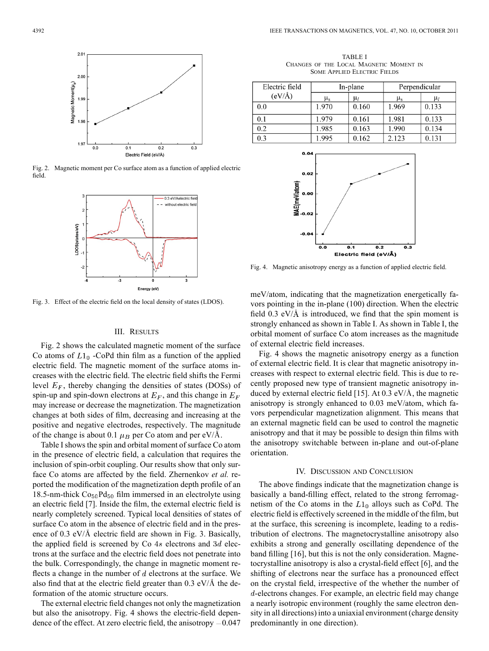

Fig. 2. Magnetic moment per Co surface atom as a function of applied electric field.



Fig. 3. Effect of the electric field on the local density of states (LDOS).

#### III. RESULTS

Fig. 2 shows the calculated magnetic moment of the surface Co atoms of  $L1_0$  -CoPd thin film as a function of the applied electric field. The magnetic moment of the surface atoms increases with the electric field. The electric field shifts the Fermi level  $E_F$ , thereby changing the densities of states (DOSs) of spin-up and spin-down electrons at  $E_F$ , and this change in  $E_F$ may increase or decrease the magnetization. The magnetization changes at both sides of film, decreasing and increasing at the positive and negative electrodes, respectively. The magnitude of the change is about 0.1  $\mu_B$  per Co atom and per eV/Å.

Table I shows the spin and orbital moment of surface Co atom in the presence of electric field, a calculation that requires the inclusion of spin-orbit coupling. Our results show that only surface Co atoms are affected by the field. Zhernenkov *et al.* reported the modification of the magnetization depth profile of an 18.5-nm-thick  $Co<sub>50</sub>Pd<sub>50</sub>$  film immersed in an electrolyte using an electric field [7]. Inside the film, the external electric field is nearly completely screened. Typical local densities of states of surface Co atom in the absence of electric field and in the presence of  $0.3 \text{ eV/A}$  electric field are shown in Fig. 3. Basically, the applied field is screened by Co  $4s$  electrons and  $3d$  electrons at the surface and the electric field does not penetrate into the bulk. Correspondingly, the change in magnetic moment reflects a change in the number of  $d$  electrons at the surface. We also find that at the electric field greater than  $0.3 \text{ eV/A}$  the deformation of the atomic structure occurs.

The external electric field changes not only the magnetization but also the anisotropy. Fig. 4 shows the electric-field dependence of the effect. At zero electric field, the anisotropy  $-0.047$ 

TABLE I CHANGES OF THE LOCAL MAGNETIC MOMENT IN SOME APPLIED ELECTRIC FIELDS

| Electric field<br>(eV/A) | In-plane      |         | Perpendicular |         |
|--------------------------|---------------|---------|---------------|---------|
|                          | $\mu_{\rm s}$ | $\mu_l$ | $\mu_{\rm s}$ | $\mu_l$ |
| 0.0                      | 1.970         | 0.160   | 1.969         | 0.133   |
| 0.1                      | 1.979         | 0.161   | 1.981         | 0.133   |
| 0.2                      | 1.985         | 0.163   | 1.990         | 0.134   |
| 0.3                      | 1.995         | 0.162   | 2.123         | 0.131   |



Fig. 4. Magnetic anisotropy energy as a function of applied electric field.

meV/atom, indicating that the magnetization energetically favors pointing in the in-plane (100) direction. When the electric field  $0.3$  eV/ $\AA$  is introduced, we find that the spin moment is strongly enhanced as shown in Table I. As shown in Table I, the orbital moment of surface Co atom increases as the magnitude of external electric field increases.

Fig. 4 shows the magnetic anisotropy energy as a function of external electric field. It is clear that magnetic anisotropy increases with respect to external electric field. This is due to recently proposed new type of transient magnetic anisotropy induced by external electric field [15]. At  $0.3 \text{ eV/A}$ , the magnetic anisotropy is strongly enhanced to 0.03 meV/atom, which favors perpendicular magnetization alignment. This means that an external magnetic field can be used to control the magnetic anisotropy and that it may be possible to design thin films with the anisotropy switchable between in-plane and out-of-plane orientation.

### IV. DISCUSSION AND CONCLUSION

The above findings indicate that the magnetization change is basically a band-filling effect, related to the strong ferromagnetism of the Co atoms in the  $L1_0$  alloys such as CoPd. The electric field is effectively screened in the middle of the film, but at the surface, this screening is incomplete, leading to a redistribution of electrons. The magnetocrystalline anisotropy also exhibits a strong and generally oscillating dependence of the band filling [16], but this is not the only consideration. Magnetocrystalline anisotropy is also a crystal-field effect [6], and the shifting of electrons near the surface has a pronounced effect on the crystal field, irrespective of the whether the number of d-electrons changes. For example, an electric field may change a nearly isotropic environment (roughly the same electron density in all directions) into a uniaxial environment (charge density predominantly in one direction).